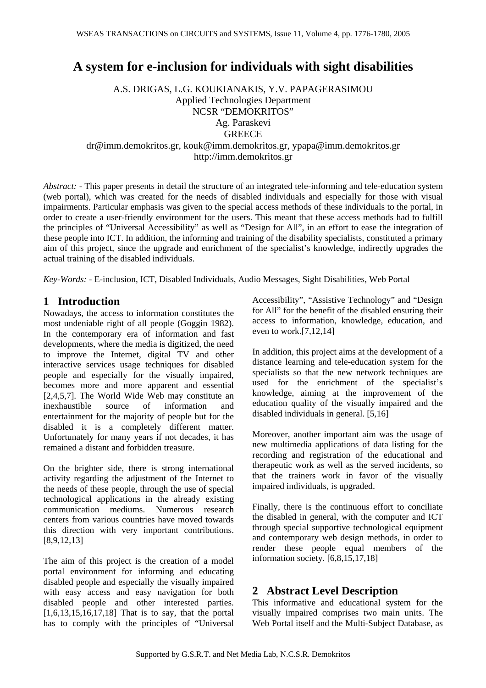# **A system for e-inclusion for individuals with sight disabilities**

A.S. DRIGAS, L.G. KOUKIANAKIS, Y.V. PAPAGERASIMOU Applied Technologies Department NCSR "DEMOKRITOS" Ag. Paraskevi **GREECE** dr@imm.demokritos.gr, kouk@imm.demokritos.gr, ypapa@imm.demokritos.gr http://imm.demokritos.gr

*Abstract:* - This paper presents in detail the structure of an integrated tele-informing and tele-education system (web portal), which was created for the needs of disabled individuals and especially for those with visual impairments. Particular emphasis was given to the special access methods of these individuals to the portal, in order to create a user-friendly environment for the users. This meant that these access methods had to fulfill the principles of "Universal Accessibility" as well as "Design for All", in an effort to ease the integration of these people into ICT. In addition, the informing and training of the disability specialists, constituted a primary aim of this project, since the upgrade and enrichment of the specialist's knowledge, indirectly upgrades the actual training of the disabled individuals.

*Key-Words: -* E-inclusion, ICT, Disabled Individuals, Audio Messages, Sight Disabilities, Web Portal

## **1 Introduction**

Nowadays, the access to information constitutes the most undeniable right of all people (Goggin 1982). In the contemporary era of information and fast developments, where the media is digitized, the need to improve the Internet, digital TV and other interactive services usage techniques for disabled people and especially for the visually impaired, becomes more and more apparent and essential [2,4,5,7]. The World Wide Web may constitute an inexhaustible source of information and entertainment for the majority of people but for the disabled it is a completely different matter. Unfortunately for many years if not decades, it has remained a distant and forbidden treasure.

On the brighter side, there is strong international activity regarding the adjustment of the Internet to the needs of these people, through the use of special technological applications in the already existing communication mediums. Numerous research centers from various countries have moved towards this direction with very important contributions. [8,9,12,13]

The aim of this project is the creation of a model portal environment for informing and educating disabled people and especially the visually impaired with easy access and easy navigation for both disabled people and other interested parties.  $[1,6,13,15,16,17,18]$  That is to say, that the portal has to comply with the principles of "Universal

Accessibility", "Assistive Technology" and "Design for All" for the benefit of the disabled ensuring their access to information, knowledge, education, and even to work.[7,12,14]

In addition, this project aims at the development of a distance learning and tele-education system for the specialists so that the new network techniques are used for the enrichment of the specialist's knowledge, aiming at the improvement of the education quality of the visually impaired and the disabled individuals in general. [5,16]

Moreover, another important aim was the usage of new multimedia applications of data listing for the recording and registration of the educational and therapeutic work as well as the served incidents, so that the trainers work in favor of the visually impaired individuals, is upgraded.

Finally, there is the continuous effort to conciliate the disabled in general, with the computer and ICT through special supportive technological equipment and contemporary web design methods, in order to render these people equal members of the information society. [6,8,15,17,18]

# **2 Abstract Level Description**

This informative and educational system for the visually impaired comprises two main units. The Web Portal itself and the Multi-Subject Database, as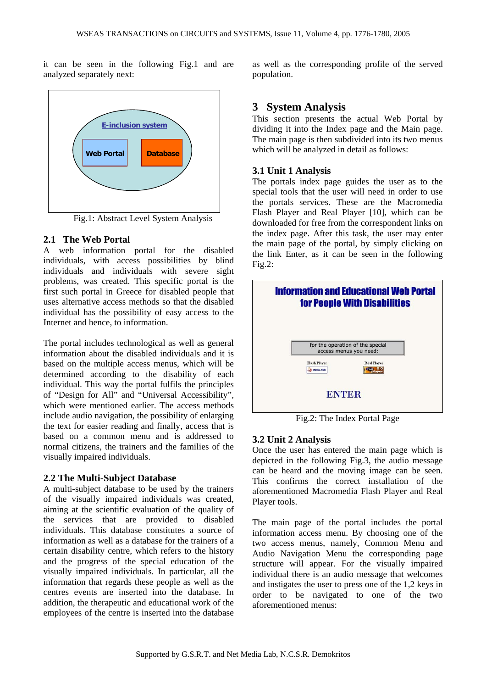it can be seen in the following Fig.1 and are analyzed separately next:



### Fig.1: Abstract Level System Analysis

### **2.1 The Web Portal**

A web information portal for the disabled individuals, with access possibilities by blind individuals and individuals with severe sight problems, was created. This specific portal is the first such portal in Greece for disabled people that uses alternative access methods so that the disabled individual has the possibility of easy access to the Internet and hence, to information.

The portal includes technological as well as general information about the disabled individuals and it is based on the multiple access menus, which will be determined according to the disability of each individual. This way the portal fulfils the principles of "Design for All" and "Universal Accessibility", which were mentioned earlier. The access methods include audio navigation, the possibility of enlarging the text for easier reading and finally, access that is based on a common menu and is addressed to normal citizens, the trainers and the families of the visually impaired individuals.

#### **2.2 The Multi-Subject Database**

A multi-subject database to be used by the trainers of the visually impaired individuals was created, aiming at the scientific evaluation of the quality of the services that are provided to disabled individuals. This database constitutes a source of information as well as a database for the trainers of a certain disability centre, which refers to the history and the progress of the special education of the visually impaired individuals. In particular, all the information that regards these people as well as the centres events are inserted into the database. In addition, the therapeutic and educational work of the employees of the centre is inserted into the database

as well as the corresponding profile of the served population.

## **3 System Analysis**

This section presents the actual Web Portal by dividing it into the Index page and the Main page. The main page is then subdivided into its two menus which will be analyzed in detail as follows:

#### **3.1 Unit 1 Analysis**

The portals index page guides the user as to the special tools that the user will need in order to use the portals services. These are the Macromedia Flash Player and Real Player [10], which can be downloaded for free from the correspondent links on the index page. After this task, the user may enter the main page of the portal, by simply clicking on the link Enter, as it can be seen in the following  $Fig.2$ :



Fig.2: The Index Portal Page

#### **3.2 Unit 2 Analysis**

Once the user has entered the main page which is depicted in the following Fig.3, the audio message can be heard and the moving image can be seen. This confirms the correct installation of the aforementioned Macromedia Flash Player and Real Player tools.

The main page of the portal includes the portal information access menu. By choosing one of the two access menus, namely, Common Menu and Audio Navigation Menu the corresponding page structure will appear. For the visually impaired individual there is an audio message that welcomes and instigates the user to press one of the 1,2 keys in order to be navigated to one of the two aforementioned menus: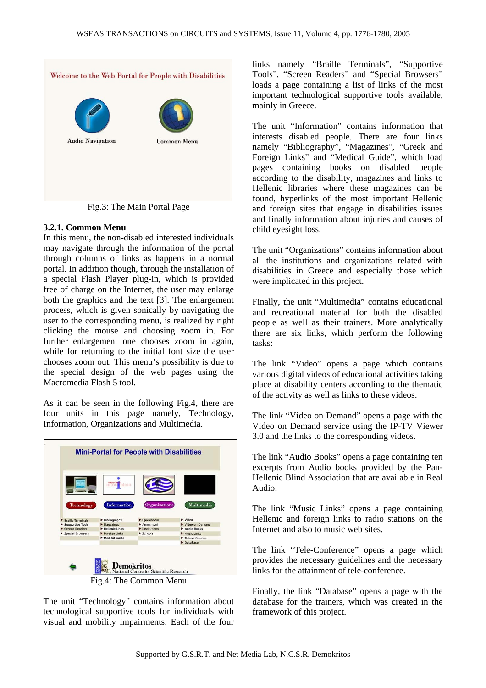

Fig.3: The Main Portal Page

### **3.2.1. Common Menu**

In this menu, the non-disabled interested individuals may navigate through the information of the portal through columns of links as happens in a normal portal. In addition though, through the installation of a special Flash Player plug-in, which is provided free of charge on the Internet, the user may enlarge both the graphics and the text [3]. The enlargement process, which is given sonically by navigating the user to the corresponding menu, is realized by right clicking the mouse and choosing zoom in. For further enlargement one chooses zoom in again, while for returning to the initial font size the user chooses zoom out. This menu's possibility is due to the special design of the web pages using the Macromedia Flash 5 tool.

As it can be seen in the following Fig.4, there are four units in this page namely, Technology, Information, Organizations and Multimedia.

|                          | <b>Informan</b><br>ation |                                    |                                      |
|--------------------------|--------------------------|------------------------------------|--------------------------------------|
| <b>Technology</b>        | <b>Information</b>       | Organizations                      | <b>Multimedia</b>                    |
| <b>Braille Terminals</b> | Bibliography             | Epikoinonia                        | Video                                |
| Supportive Tools         | Magazines                | Ammimoni                           | Video on Demand                      |
| Screen Readers           | Hellenic Links           | $\blacktriangleright$ Institutions | Audio Books                          |
| Special Browsers         | Foreign Links            | $\blacktriangleright$ Schools      | Music Links                          |
|                          | Medical Guide            |                                    | $\blacktriangleright$ Teleconference |
|                          |                          |                                    | DataBase                             |
|                          |                          |                                    |                                      |

The unit "Technology" contains information about technological supportive tools for individuals with visual and mobility impairments. Each of the four

links namely "Braille Terminals", "Supportive Tools", "Screen Readers" and "Special Browsers" loads a page containing a list of links of the most important technological supportive tools available, mainly in Greece.

The unit "Information" contains information that interests disabled people. There are four links namely "Bibliography", "Magazines", "Greek and Foreign Links" and "Medical Guide", which load pages containing books on disabled people according to the disability, magazines and links to Hellenic libraries where these magazines can be found, hyperlinks of the most important Hellenic and foreign sites that engage in disabilities issues and finally information about injuries and causes of child eyesight loss.

The unit "Organizations" contains information about all the institutions and organizations related with disabilities in Greece and especially those which were implicated in this project.

Finally, the unit "Multimedia" contains educational and recreational material for both the disabled people as well as their trainers. More analytically there are six links, which perform the following tasks:

The link "Video" opens a page which contains various digital videos of educational activities taking place at disability centers according to the thematic of the activity as well as links to these videos.

The link "Video on Demand" opens a page with the Video on Demand service using the IP-TV Viewer 3.0 and the links to the corresponding videos.

The link "Audio Books" opens a page containing ten excerpts from Audio books provided by the Pan-Hellenic Blind Association that are available in Real Audio.

The link "Music Links" opens a page containing Hellenic and foreign links to radio stations on the Internet and also to music web sites.

The link "Tele-Conference" opens a page which provides the necessary guidelines and the necessary links for the attainment of tele-conference.

Finally, the link "Database" opens a page with the database for the trainers, which was created in the framework of this project.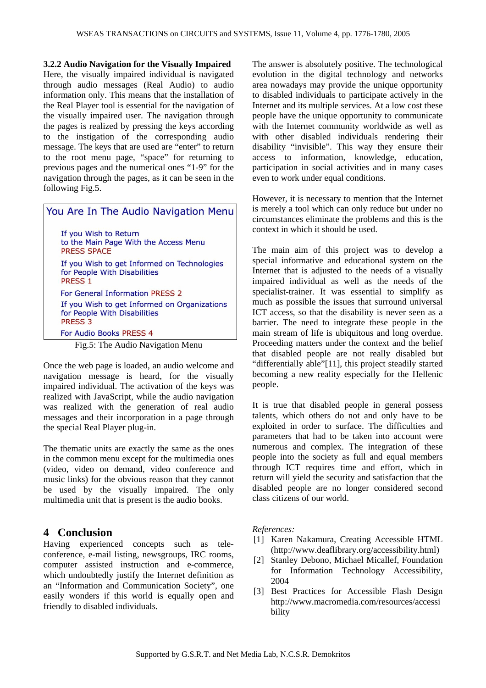### **3.2.2 Audio Navigation for the Visually Impaired**

Here, the visually impaired individual is navigated through audio messages (Real Audio) to audio information only. This means that the installation of the Real Player tool is essential for the navigation of the visually impaired user. The navigation through the pages is realized by pressing the keys according to the instigation of the corresponding audio message. The keys that are used are "enter" to return to the root menu page, "space" for returning to previous pages and the numerical ones "1-9" for the navigation through the pages, as it can be seen in the following Fig.5.

| You Are In The Audio Navigation Menu                                                           |
|------------------------------------------------------------------------------------------------|
| If you Wish to Return<br>to the Main Page With the Access Menu<br>PRESS SPACE                  |
| If you Wish to get Informed on Technologies<br>for People With Disabilities<br><b>PRESS 1</b>  |
| <b>For General Information PRESS 2</b>                                                         |
| If you Wish to get Informed on Organizations<br>for People With Disabilities<br><b>PRESS 3</b> |
| For Audio Books PRESS 4                                                                        |
| Fig.5: The Audio Navigation Menu                                                               |

Once the web page is loaded, an audio welcome and navigation message is heard, for the visually impaired individual. The activation of the keys was realized with JavaScript, while the audio navigation was realized with the generation of real audio messages and their incorporation in a page through the special Real Player plug-in.

The thematic units are exactly the same as the ones in the common menu except for the multimedia ones (video, video on demand, video conference and music links) for the obvious reason that they cannot be used by the visually impaired. The only multimedia unit that is present is the audio books.

# **4 Conclusion**

Having experienced concepts such as teleconference, e-mail listing, newsgroups, IRC rooms, computer assisted instruction and e-commerce, which undoubtedly justify the Internet definition as an "Information and Communication Society", one easily wonders if this world is equally open and friendly to disabled individuals.

The answer is absolutely positive. The technological evolution in the digital technology and networks area nowadays may provide the unique opportunity to disabled individuals to participate actively in the Internet and its multiple services. At a low cost these people have the unique opportunity to communicate with the Internet community worldwide as well as with other disabled individuals rendering their disability "invisible". This way they ensure their access to information, knowledge, education, participation in social activities and in many cases even to work under equal conditions.

However, it is necessary to mention that the Internet is merely a tool which can only reduce but under no circumstances eliminate the problems and this is the context in which it should be used.

The main aim of this project was to develop a special informative and educational system on the Internet that is adjusted to the needs of a visually impaired individual as well as the needs of the specialist-trainer. It was essential to simplify as much as possible the issues that surround universal ICT access, so that the disability is never seen as a barrier. The need to integrate these people in the main stream of life is ubiquitous and long overdue. Proceeding matters under the context and the belief that disabled people are not really disabled but "differentially able"[11], this project steadily started becoming a new reality especially for the Hellenic people.

It is true that disabled people in general possess talents, which others do not and only have to be exploited in order to surface. The difficulties and parameters that had to be taken into account were numerous and complex. The integration of these people into the society as full and equal members through ICT requires time and effort, which in return will yield the security and satisfaction that the disabled people are no longer considered second class citizens of our world.

*References:* 

- [1] Karen Nakamura, Creating Accessible HTML (http://www.deaflibrary.org/accessibility.html)
- [2] Stanley Debono, Michael Micallef, Foundation for Information Technology Accessibility, 2004
- [3] Best Practices for Accessible Flash Design http://www.macromedia.com/resources/accessi bility